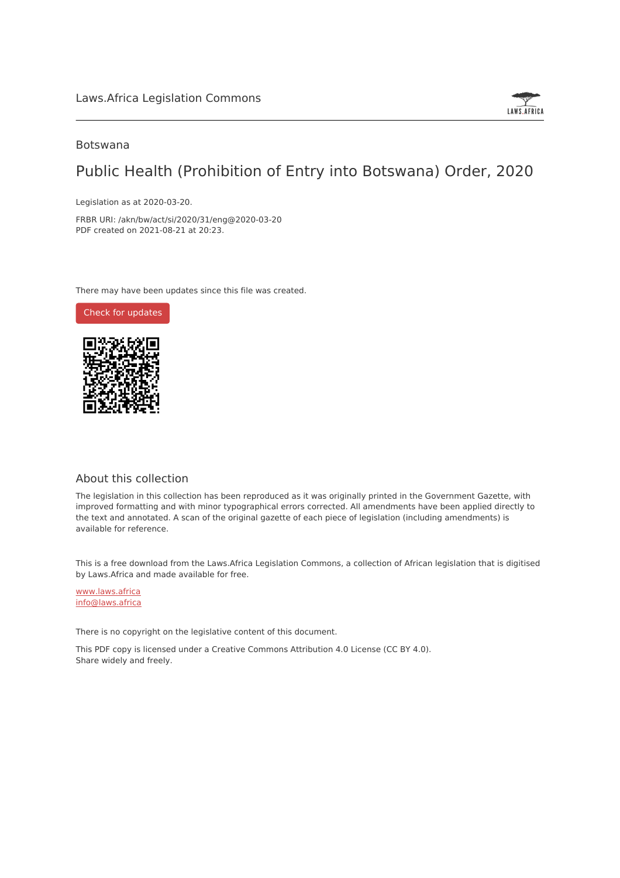

## Botswana

## Public Health (Prohibition of Entry into Botswana) Order, 2020

Legislation as at 2020-03-20.

FRBR URI: /akn/bw/act/si/2020/31/eng@2020-03-20 PDF created on 2021-08-21 at 20:23.

There may have been updates since this file was created.

Check for [updates](https://commons.laws.africa/akn/bw/act/si/2020/31/eng@2020-03-20?ts=2021-08-21T20:23:38.627559+00:00)



## About this collection

The legislation in this collection has been reproduced as it was originally printed in the Government Gazette, with improved formatting and with minor typographical errors corrected. All amendments have been applied directly to the text and annotated. A scan of the original gazette of each piece of legislation (including amendments) is available for reference.

This is a free download from the Laws.Africa Legislation Commons, a collection of African legislation that is digitised by Laws.Africa and made available for free.

[www.laws.africa](https://www.laws.africa) [info@laws.africa](mailto:info@laws.africa)

There is no copyright on the legislative content of this document.

This PDF copy is licensed under a Creative Commons Attribution 4.0 License (CC BY 4.0). Share widely and freely.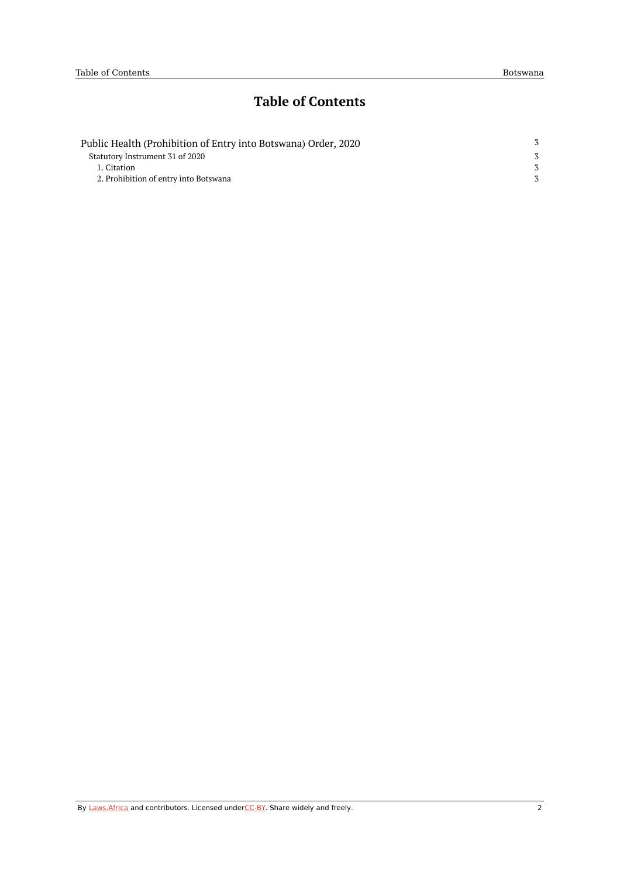## **Table of Contents**

| Public Health (Prohibition of Entry into Botswana) Order, 2020 |  |
|----------------------------------------------------------------|--|
| Statutory Instrument 31 of 2020                                |  |
| 1. Citation                                                    |  |
| 2. Prohibition of entry into Botswana                          |  |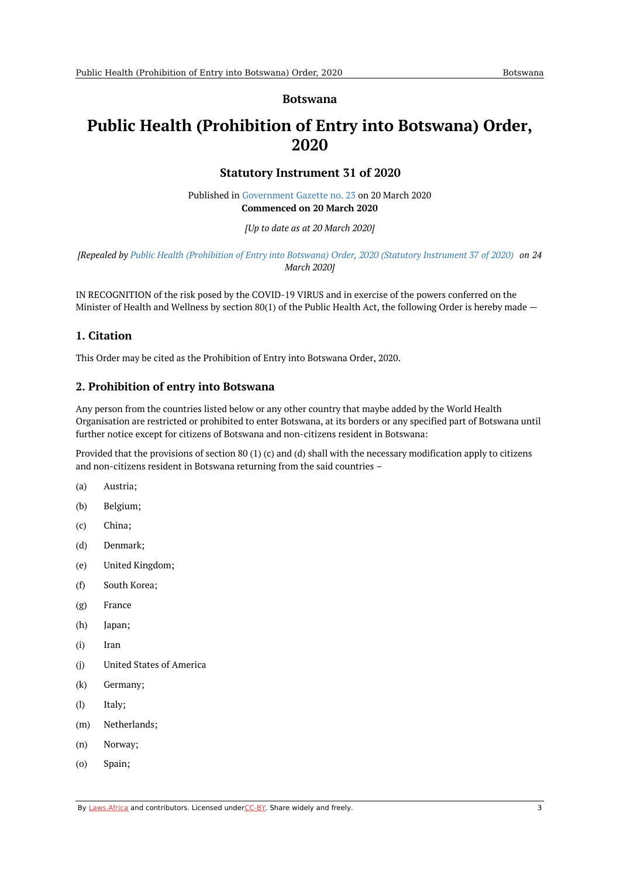#### **Botswana**

# <span id="page-2-1"></span><span id="page-2-0"></span>**Public Health (Prohibition of Entry into Botswana) Order, 2020**

### **Statutory Instrument 31 of 2020**

Published in [Government](https://commons.laws.africa/akn/bw/act/si/2020/31/media/publication/bw-act-si-2020-31-publication-document.pdf) Gazette no. 23 on 20 March 2020 **Commenced on 20 March 2020**

*[Up to date as at 20 March 2020]*

[Repealed by Public Health [\(Prohibition](https://africanlii.org/akn/bw/act/si/2020/37) of Entry into Botswana) Order, 2020 (Statutory Instrument 37 of 2020) on 24 *March 2020]*

IN RECOGNITION of the risk posed by the COVID-19 VIRUS and in exercise of the powers conferred on the Minister of Health and Wellness by section 80(1) of the Public Health Act, the following Order is hereby made  $-$ 

## <span id="page-2-2"></span>**1. Citation**

This Order may be cited as the Prohibition of Entry into Botswana Order, 2020.

## <span id="page-2-3"></span>**2. Prohibition of entry into Botswana**

Any person from the countries listed below or any other country that maybe added by the World Health Organisation are restricted or prohibited to enter Botswana, at its borders or any specified part of Botswana until further notice except for citizens of Botswana and non-citizens resident in Botswana:

Provided that the provisions of section 80 (1) (c) and (d) shall with the necessary modification apply to citizens and non-citizens resident in Botswana returning from the said countries –

- (a) Austria;
- (b) Belgium;
- (c) China;
- (d) Denmark;
- (e) United Kingdom;
- (f) South Korea;
- (g) France
- (h) Japan;
- (i) Iran
- (j) United States of America
- (k) Germany;
- (l) Italy;
- (m) Netherlands;
- (n) Norway;
- (o) Spain;